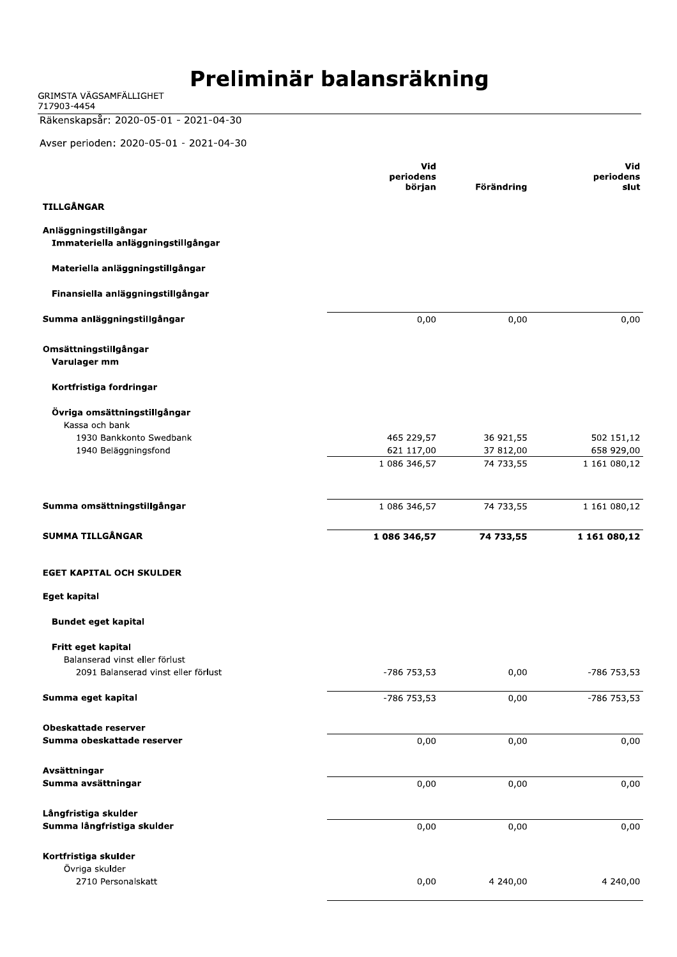GRIMSTA VÄGSAMFÄLLIGHET<br>717903-4454

#### Räkenskapsår: 2020-05-01 - 2021-04-30

Avser perioden: 2020-05-01 - 2021-04-30

|                                                                           | Vid<br>periodens<br>början | Förändring | Vid<br>periodens<br>slut |
|---------------------------------------------------------------------------|----------------------------|------------|--------------------------|
| <b>TILLGÅNGAR</b>                                                         |                            |            |                          |
| Anläggningstillgångar<br>Immateriella anläggningstillgångar               |                            |            |                          |
| Materiella anläggningstillgångar                                          |                            |            |                          |
| Finansiella anläggningstillgångar                                         |                            |            |                          |
| Summa anläggningstillgångar                                               | 0,00                       | 0,00       | 0,00                     |
| Omsättningstillgångar<br>Varulager mm                                     |                            |            |                          |
| Kortfristiga fordringar                                                   |                            |            |                          |
| Övriga omsättningstillgångar<br>Kassa och bank<br>1930 Bankkonto Swedbank | 465 229,57                 | 36 921,55  | 502 151,12               |
| 1940 Beläggningsfond                                                      | 621 117,00                 | 37 812,00  | 658 929,00               |
|                                                                           | 1 086 346,57               | 74 733,55  | 1 161 080,12             |
| Summa omsättningstillgångar                                               | 1 086 346,57               | 74 733,55  | 1 161 080,12             |
| <b>SUMMA TILLGÅNGAR</b>                                                   | 1 086 346,57               | 74 733,55  | 1 161 080,12             |
| <b>EGET KAPITAL OCH SKULDER</b>                                           |                            |            |                          |
| <b>Eget kapital</b>                                                       |                            |            |                          |
|                                                                           |                            |            |                          |
| <b>Bundet eget kapital</b>                                                |                            |            |                          |
| Fritt eget kapital                                                        |                            |            |                          |
| Balanserad vinst eller förlust<br>2091 Balanserad vinst eller förlust     | -786 753,53                | 0,00       | -786 753,53              |
| Summa eget kapital                                                        | -786 753,53                | 0,00       | -786 753,53              |
| <b>Obeskattade reserver</b>                                               |                            |            |                          |
| Summa obeskattade reserver                                                | 0,00                       | 0,00       | 0,00                     |
| Avsättningar                                                              |                            |            |                          |
| Summa avsättningar                                                        | 0,00                       | 0,00       | 0,00                     |
| Långfristiga skulder<br>Summa långfristiga skulder                        | 0,00                       | 0,00       | 0,00                     |
| Kortfristiga skulder<br>Övriga skulder                                    |                            |            |                          |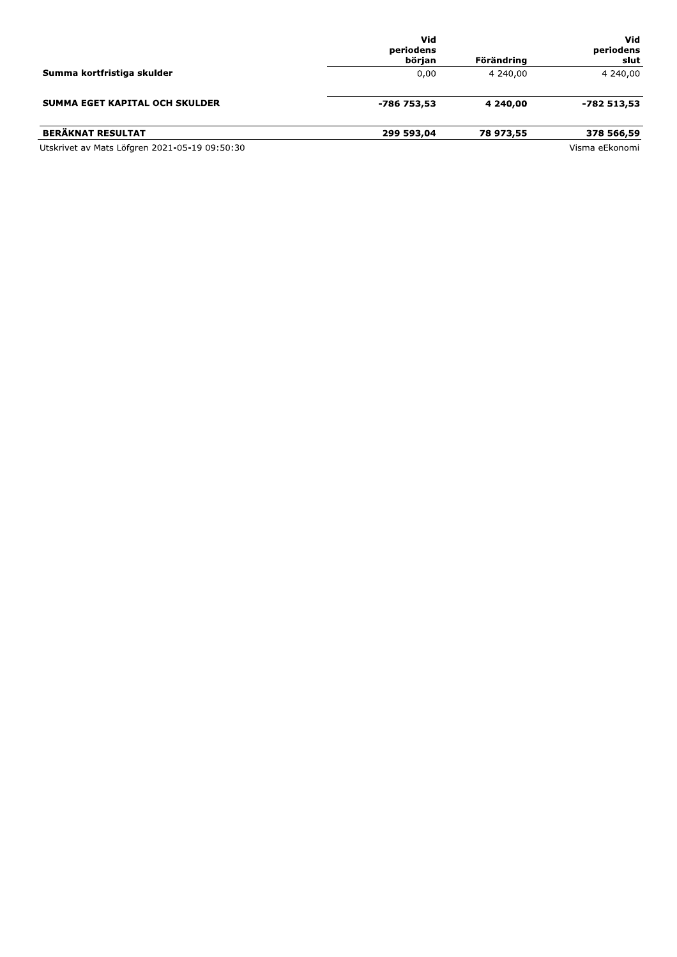|                                               | Vid<br>periodens<br>början | Förändring | Vid<br>periodens<br>slut |
|-----------------------------------------------|----------------------------|------------|--------------------------|
| Summa kortfristiga skulder                    | 0,00                       | 4 240,00   | 4 240,00                 |
| SUMMA EGET KAPITAL OCH SKULDER                | -786 753,53                | 4 240,00   | -782 513,53              |
| <b>BERÄKNAT RESULTAT</b>                      | 299 593,04                 | 78 973,55  | 378 566,59               |
| Utskrivet av Mats Löfgren 2021-05-19 09:50:30 |                            |            | Visma eEkonomi           |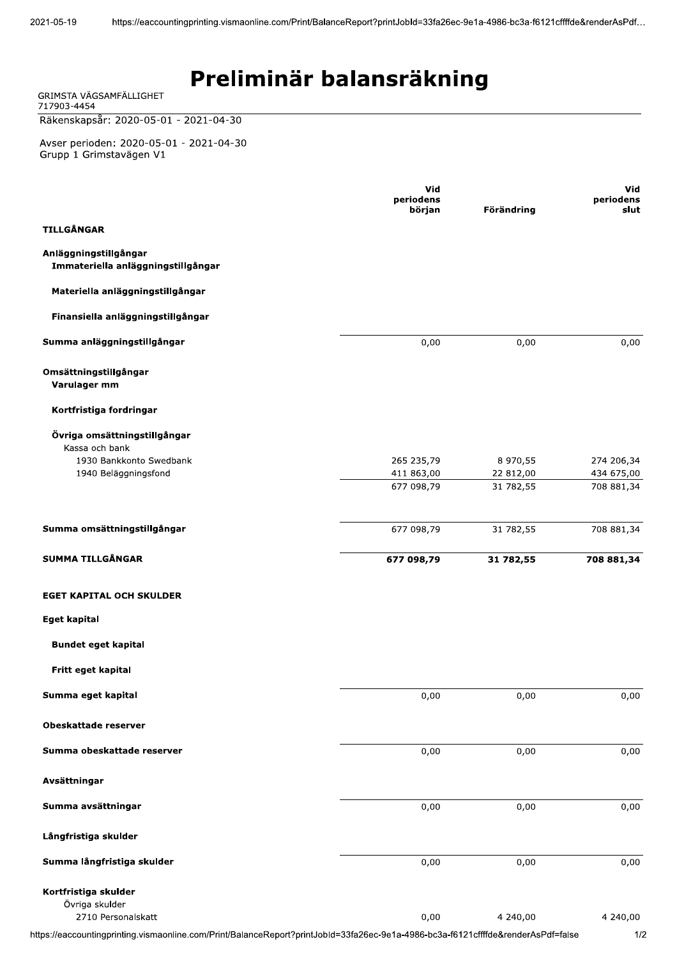| GRIMSTA VÄGSAMFÄLLIGHET<br>717903-4454                             |                     |            |                   |
|--------------------------------------------------------------------|---------------------|------------|-------------------|
| Räkenskapsår: 2020-05-01 - 2021-04-30                              |                     |            |                   |
| Avser perioden: 2020-05-01 - 2021-04-30<br>Grupp 1 Grimstavägen V1 |                     |            |                   |
|                                                                    | Vid                 |            | Vid               |
|                                                                    | periodens<br>början | Förändring | periodens<br>slut |
| <b>TILLGÅNGAR</b>                                                  |                     |            |                   |
| Anläggningstillgångar<br>Immateriella anläggningstillgångar        |                     |            |                   |
| Materiella anläggningstillgångar                                   |                     |            |                   |
| Finansiella anläggningstillgångar                                  |                     |            |                   |
| Summa anläggningstillgångar                                        | 0,00                | 0,00       | 0,00              |
| Omsättningstillgångar<br>Varulager mm                              |                     |            |                   |
| Kortfristiga fordringar                                            |                     |            |                   |
| Övriga omsättningstillgångar                                       |                     |            |                   |
| Kassa och bank<br>1930 Bankkonto Swedbank                          | 265 235,79          | 8 970,55   | 274 206,34        |
| 1940 Beläggningsfond                                               | 411 863,00          | 22 812,00  | 434 675,00        |
|                                                                    | 677 098,79          | 31782,55   | 708 881,34        |
| Summa omsättningstillgångar                                        | 677 098,79          | 31 782,55  | 708 881,34        |
| <b>SUMMA TILLGÅNGAR</b>                                            | 677 098,79          | 31 782,55  | 708 881,34        |
|                                                                    |                     |            |                   |
| <b>EGET KAPITAL OCH SKULDER</b>                                    |                     |            |                   |
| <b>Eget kapital</b>                                                |                     |            |                   |
| <b>Bundet eget kapital</b>                                         |                     |            |                   |
| Fritt eget kapital                                                 |                     |            |                   |
| Summa eget kapital                                                 | 0,00                | 0,00       | 0,00              |
| Obeskattade reserver                                               |                     |            |                   |
| Summa obeskattade reserver                                         | 0,00                | 0,00       | 0,00              |
| Avsättningar                                                       |                     |            |                   |
| Summa avsättningar                                                 | 0,00                | 0,00       | 0,00              |
| Långfristiga skulder                                               |                     |            |                   |
| Summa långfristiga skulder                                         | 0,00                | 0,00       | 0,00              |
| Kortfristiga skulder<br>Övriga skulder                             |                     |            |                   |

2710 Personalskatt

 $1/2$ 

https://eaccountingprinting.vismaonline.com/Print/BalanceReport?printJobId=33fa26ec-9e1a-4986-bc3a-f6121cffffde&renderAsPdf=false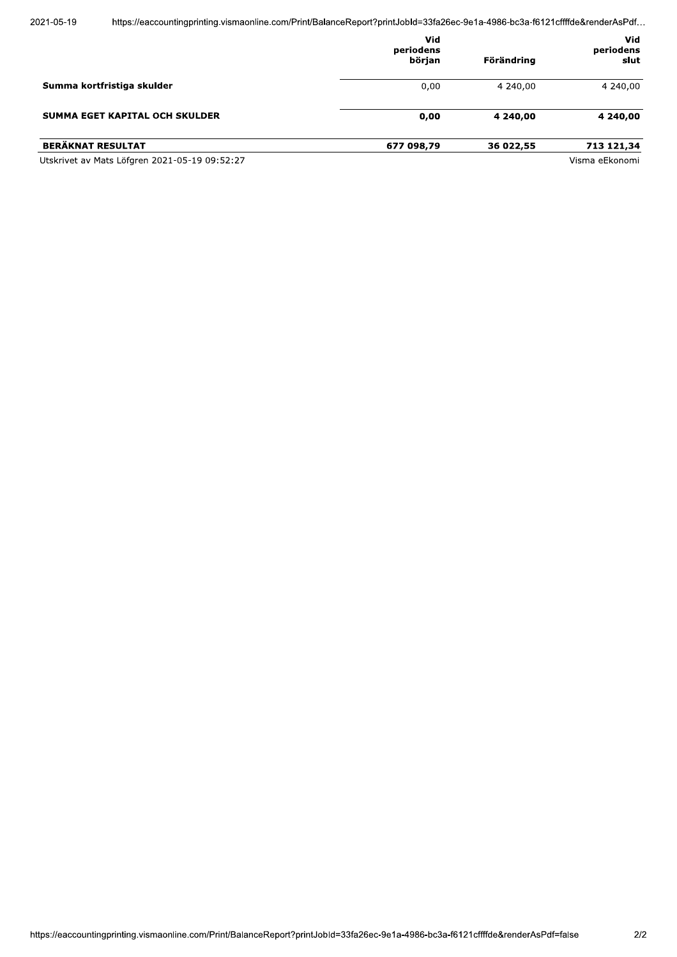|                                               | Vid<br>periodens<br>början | Förändring | Vid<br>periodens<br>slut |
|-----------------------------------------------|----------------------------|------------|--------------------------|
| Summa kortfristiga skulder                    | 0,00                       | 4 240,00   | 4 240,00                 |
| SUMMA EGET KAPITAL OCH SKULDER                | 0,00                       | 4 240,00   | 4 240,00                 |
| <b>BERÄKNAT RESULTAT</b>                      | 677 098,79                 | 36 022,55  | 713 121,34               |
| Utskrivet av Mats Löfgren 2021-05-19 09:52:27 |                            |            | Visma eEkonomi           |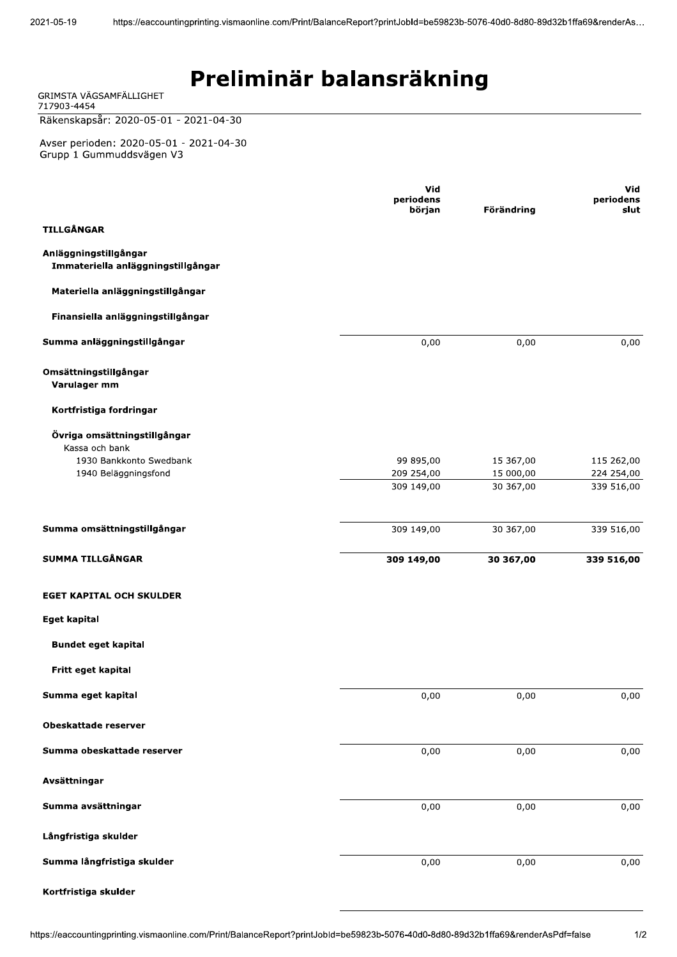### Preliminär balansräkning

| GRIMSTA VAGSAMFALLIGHET<br>717903-4454                              |                     |            |                   |
|---------------------------------------------------------------------|---------------------|------------|-------------------|
| Räkenskapsår: 2020-05-01 - 2021-04-30                               |                     |            |                   |
| Avser perioden: 2020-05-01 - 2021-04-30<br>Grupp 1 Gummuddsvägen V3 |                     |            |                   |
|                                                                     | <b>Vid</b>          |            | Vid               |
|                                                                     | periodens<br>början | Förändring | periodens<br>slut |
| <b>TILLGÅNGAR</b>                                                   |                     |            |                   |
| Anläggningstillgångar<br>Immateriella anläggningstillgångar         |                     |            |                   |
| Materiella anläggningstillgångar                                    |                     |            |                   |
| Finansiella anläggningstillgångar                                   |                     |            |                   |
| Summa anläggningstillgångar                                         | 0,00                | 0,00       | 0,00              |
| Omsättningstillgångar<br>Varulager mm                               |                     |            |                   |
| Kortfristiga fordringar                                             |                     |            |                   |
| Övriga omsättningstillgångar<br>Kassa och bank                      |                     |            |                   |
| 1930 Bankkonto Swedbank                                             | 99 895,00           | 15 367,00  | 115 262,00        |
| 1940 Beläggningsfond                                                | 209 254,00          | 15 000,00  | 224 254,00        |
|                                                                     | 309 149,00          | 30 367,00  | 339 516,00        |
| Summa omsättningstillgångar                                         | 309 149,00          | 30 367,00  | 339 516,00        |
| <b>SUMMA TILLGÅNGAR</b>                                             | 309 149,00          | 30 367,00  | 339 516,00        |
| <b>EGET KAPITAL OCH SKULDER</b>                                     |                     |            |                   |
| <b>Eget kapital</b>                                                 |                     |            |                   |
| <b>Bundet eget kapital</b>                                          |                     |            |                   |
| Fritt eget kapital                                                  |                     |            |                   |
| Summa eget kapital                                                  | 0,00                | 0,00       | 0,00              |
| Obeskattade reserver                                                |                     |            |                   |
| Summa obeskattade reserver                                          | 0,00                | 0,00       | 0,00              |
| Avsättningar                                                        |                     |            |                   |
| Summa avsättningar                                                  | 0,00                | 0,00       | 0,00              |
| Långfristiga skulder                                                |                     |            |                   |
| Summa långfristiga skulder                                          | 0,00                | 0,00       | 0,00              |
| Kortfristiga skulder                                                |                     |            |                   |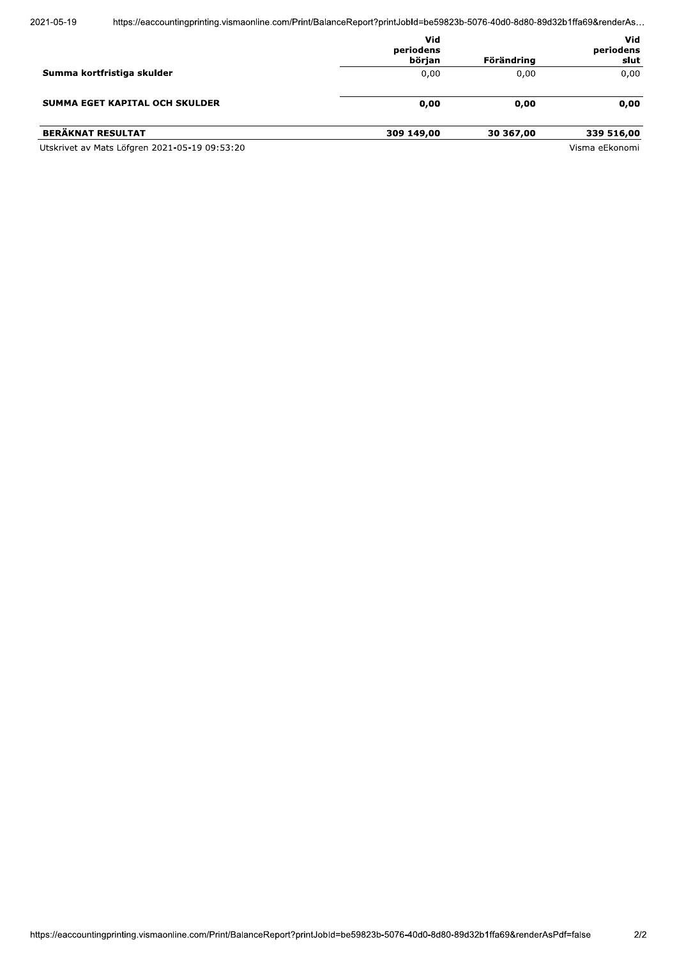https://eaccountingprinting.vismaonline.com/Print/BalanceReport?printJobId=be59823b-5076-40d0-8d80-89d32b1ffa69&renderAs...

|                                                              | Vid<br>periodens<br>början | Förändring   | Vid<br>periodens<br>slut |
|--------------------------------------------------------------|----------------------------|--------------|--------------------------|
| Summa kortfristiga skulder<br>SUMMA EGET KAPITAL OCH SKULDER | 0,00<br>0,00               | 0.00<br>0,00 | 0,00<br>0,00             |
|                                                              |                            |              |                          |
| Utskrivet av Mats Löfgren 2021-05-19 09:53:20                |                            |              | Visma eEkonomi           |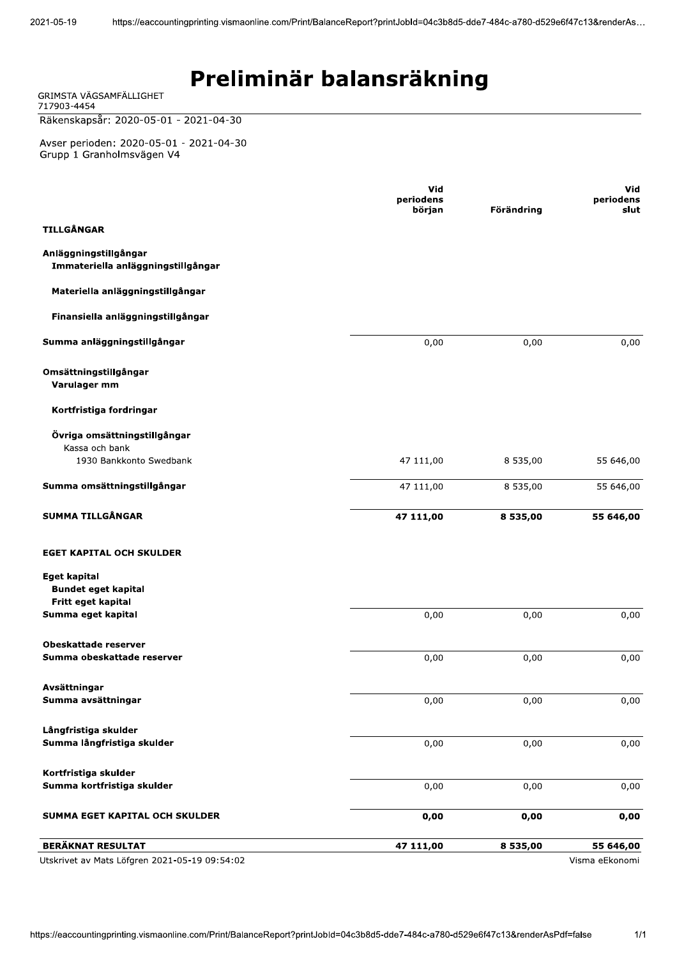| GRIMSTA VÄGSAMFÄLLIGHET<br>717903-4454                                  |                                   |            |                          |
|-------------------------------------------------------------------------|-----------------------------------|------------|--------------------------|
| Räkenskapsår: 2020-05-01 - 2021-04-30                                   |                                   |            |                          |
| Avser perioden: 2020-05-01 - 2021-04-30<br>Grupp 1 Granholmsvägen V4    |                                   |            |                          |
|                                                                         | <b>Vid</b><br>periodens<br>början | Förändring | Vid<br>periodens<br>slut |
| <b>TILLGÅNGAR</b>                                                       |                                   |            |                          |
| Anläggningstillgångar<br>Immateriella anläggningstillgångar             |                                   |            |                          |
| Materiella anläggningstillgångar                                        |                                   |            |                          |
| Finansiella anläggningstillgångar                                       |                                   |            |                          |
| Summa anläggningstillgångar                                             | 0,00                              | 0,00       | 0,00                     |
| Omsättningstillgångar<br>Varulager mm                                   |                                   |            |                          |
| Kortfristiga fordringar                                                 |                                   |            |                          |
| Övriga omsättningstillgångar<br>Kassa och bank                          |                                   |            |                          |
| 1930 Bankkonto Swedbank                                                 | 47 111,00                         | 8 535,00   | 55 646,00                |
| Summa omsättningstillgångar                                             | 47 111,00                         | 8 535,00   | 55 646,00                |
| <b>SUMMA TILLGÅNGAR</b>                                                 | 47 111,00                         | 8 535,00   | 55 646,00                |
| <b>EGET KAPITAL OCH SKULDER</b>                                         |                                   |            |                          |
| <b>Eget kapital</b><br><b>Bundet eget kapital</b><br>Fritt eget kapital |                                   |            |                          |
| Summa eget kapital                                                      | 0,00                              | 0,00       | 0,00                     |
| <b>Obeskattade reserver</b><br>Summa obeskattade reserver               | 0,00                              | 0,00       | 0,00                     |
| Avsättningar<br>Summa avsättningar                                      | 0,00                              | 0,00       | 0,00                     |
| Långfristiga skulder<br>Summa långfristiga skulder                      | 0,00                              | 0,00       | 0,00                     |
| Kortfristiga skulder<br>Summa kortfristiga skulder                      | 0,00                              | 0,00       | 0,00                     |
| SUMMA EGET KAPITAL OCH SKULDER                                          | 0,00                              | 0,00       | 0,00                     |
| <b>BERÄKNAT RESULTAT</b>                                                | 47 111,00                         | 8 535,00   | 55 646,00                |

Utskrivet av Mats Löfgren 2021-05-19 09:54:02

Visma eEkonomi

 $1/1$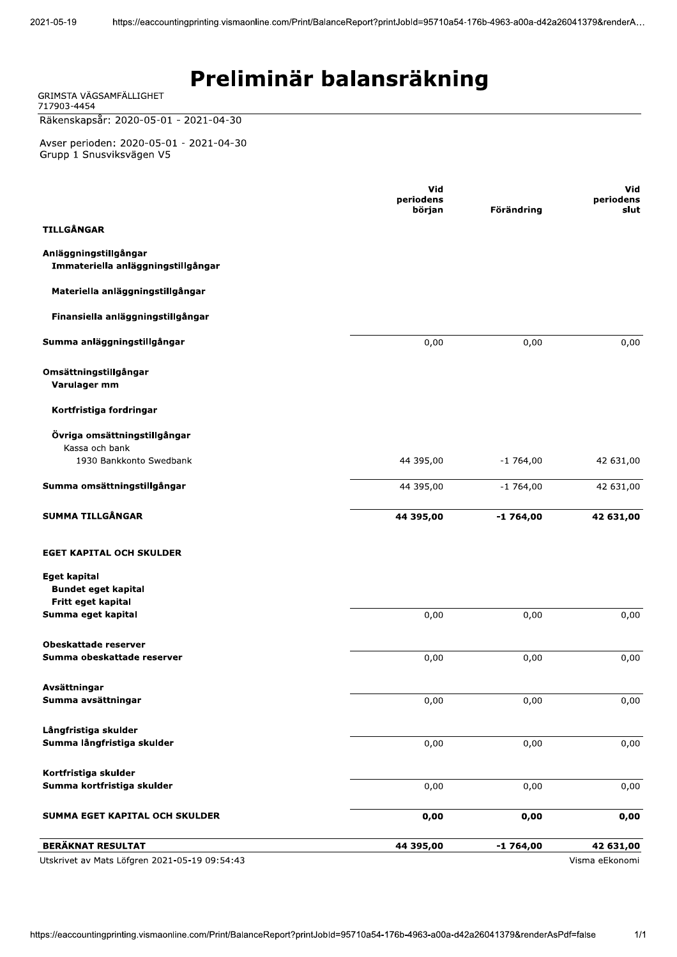| GRIMSTA VÄGSAMFÄLLIGHET<br>717903-4454                                    |                                   |            |                          |
|---------------------------------------------------------------------------|-----------------------------------|------------|--------------------------|
| Räkenskapsår: 2020-05-01 - 2021-04-30                                     |                                   |            |                          |
| Avser perioden: 2020-05-01 - 2021-04-30<br>Grupp 1 Snusviksvägen V5       |                                   |            |                          |
|                                                                           | <b>Vid</b><br>periodens<br>början | Förändring | Vid<br>periodens<br>slut |
| <b>TILLGÅNGAR</b>                                                         |                                   |            |                          |
| Anläggningstillgångar<br>Immateriella anläggningstillgångar               |                                   |            |                          |
| Materiella anläggningstillgångar                                          |                                   |            |                          |
| Finansiella anläggningstillgångar                                         |                                   |            |                          |
| Summa anläggningstillgångar                                               | 0,00                              | 0,00       | 0,00                     |
| Omsättningstillgångar<br>Varulager mm                                     |                                   |            |                          |
| Kortfristiga fordringar                                                   |                                   |            |                          |
| Övriga omsättningstillgångar<br>Kassa och bank<br>1930 Bankkonto Swedbank | 44 395,00                         | $-1764,00$ | 42 631,00                |
|                                                                           |                                   |            |                          |
| Summa omsättningstillgångar                                               | 44 395,00                         | $-1764,00$ | 42 631,00                |
| <b>SUMMA TILLGÅNGAR</b>                                                   | 44 395,00                         | $-1764,00$ | 42 631,00                |
| <b>EGET KAPITAL OCH SKULDER</b>                                           |                                   |            |                          |
| <b>Eget kapital</b><br><b>Bundet eget kapital</b>                         |                                   |            |                          |
| Fritt eget kapital<br>Summa eget kapital                                  | 0,00                              | 0,00       | 0,00                     |
| <b>Obeskattade reserver</b><br>Summa obeskattade reserver                 | 0,00                              | 0,00       | 0,00                     |
| Avsättningar<br>Summa avsättningar                                        | 0,00                              | 0,00       | 0,00                     |
|                                                                           |                                   |            |                          |
| Långfristiga skulder<br>Summa långfristiga skulder                        | 0,00                              | 0,00       | 0,00                     |
| Kortfristiga skulder<br>Summa kortfristiga skulder                        | 0,00                              | 0,00       | 0,00                     |
| SUMMA EGET KAPITAL OCH SKULDER                                            | 0,00                              | 0,00       | 0,00                     |
| <b>BERÄKNAT RESULTAT</b>                                                  | 44 395,00                         | $-1764,00$ | 42 631,00                |

Utskrivet av Mats Löfgren 2021-05-19 09:54:43

Visma eEkonomi